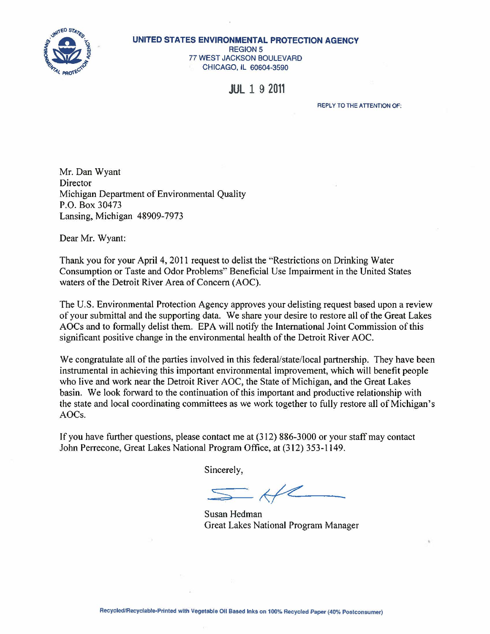

#### **UNITED STATES ENVIRONMENTAL PROTECTION AGENCY REGION 5** 77 WEST JACKSON BOULEVARD

CHICAGO, ll 60604-3590

**JUL 1 9 2011** 

REPLY TO THE ATTENTION OF:

Mr. Dan Wyant **Director** Michigan Department of Environmental Quality P.O. Box 30473 Lansing, Michigan 48909-7973

Dear Mr. Wyant:

Thank you for your April4, 2011 request to delist the "Restrictions on Drinking Water Consumption or Taste and Odor Problems" Beneticial Use Impairment in the United States waters of the Detroit River Area of Concern (AOC).

The U.S. Environmental Protection Agency approves your delisting request based upon a review of your submittal and the supporting data. We share your desire to restore all ofthe Great Lakes AOCs and to formally delist them. EPA will notify the International Joint Commission of this significant positive change in the environmental health of the Detroit River AOC.

We congratulate all of the parties involved in this federal/state/local partnership. They have been instrumental in achieving this important environmental improvement, which will benefit people who live and work near the Detroit River AOC, the State of Michigan, and the Great Lakes basin. We look forward to the continuation of this important and productive relationship with the state and local coordinating committees as we work together to fully restore all of Michigan's AOCs.

If you have further questions, please contact me at  $(312) 886-3000$  or your staff may contact John Perrecone, Great Lakes National Program Office, at (312) 353-1149.

Sincerely,

 $5 - k/2$ 

Susan Hedman Great Lakes National Program Manager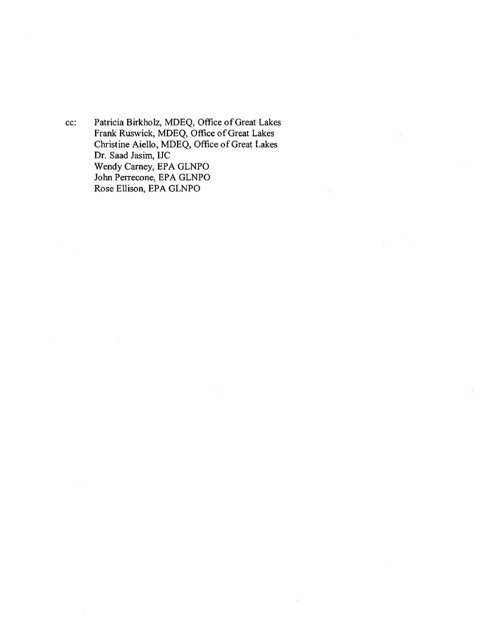cc: Patricia Birkholz, MDEQ, Office of Great Lakes Frank Ruswick, MDEQ, Office of Great Lakes Christine Aiello, MDEQ, Office of Great Lakes Dr. Saad Jasim, IJC Wendy Carney, EPA GLNPO John Perrecone, EPA GLNPO Rose Ellison, EPA GLNPO

 $\mathcal{L}_{\mathbf{z}}$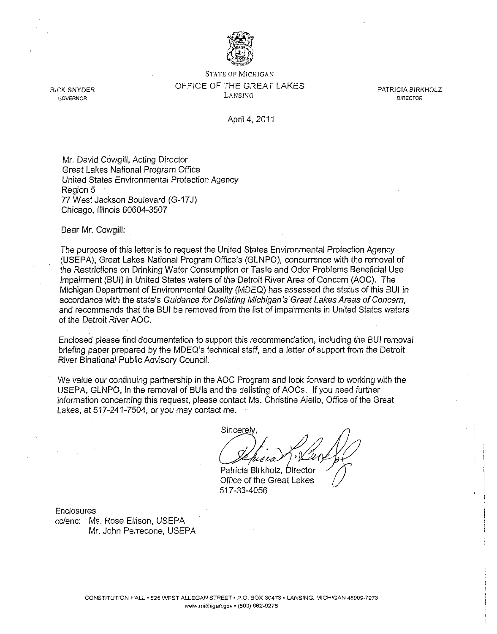

RICK SNYDER **GOVERNOR** 

STATE OF MICHIGAN OFFICE OF THE GREAT LAKES LANSING

PATRICIA BIRKHOLZ **DIRECTOR** 

# April4, 2011

Mr. David Cowgill, Acting Director Great Lakes National Program Office United States Environmental Protection Agency Region 5 77 West Jackson Boulevard (G-17J) Chicago, Illinois 60604-3507

Dear Mr. Cowgill:

The purpose of this letter is to request the United States Environmental Protection Agency (USEPA), Great Lakes National Program Office's (GLNPO), concurrence with the removal of the Restrictions on Drinking Water Consumption or Taste and Odor Problems Beneficial Use Impairment (SUI) in United States waters of the Detroit River Area of Concern (AOC). The Michigan Department of Environmental Quality (MDEQ) has assessed the status of this SUI in accordance with the state's Guidance for Delisting Michigan's Great Lakes Areas of Concern, and recommends that the SUI be removed from the list of impairments in United States waters of the Detroit River AOC.

Enclosed please find documentation to support this recommendation, including the SUI removal briefing paper prepared by the MDEQ's technical staff, and a letter of support from the Detroit River Binational Public Advisory Council.

We value our continuing partnership in the AOC Program and look forward to working with the USEPA, GLNPO, in the removal of BUis and the delisting of AOCs. If you need further information concerning this request, please contact Ms. Christine Aiello, Office of the Great Lakes, at 517-241-7504, or you may contact me.

Sincerely This A. Duty

Patricia Birkholz, Director Office of the Great Lakes 517-33-4056

**Enclosures** 

cc/enc: Ms. Rose Ellison, USEPA Mr. John Perrecone, USEPA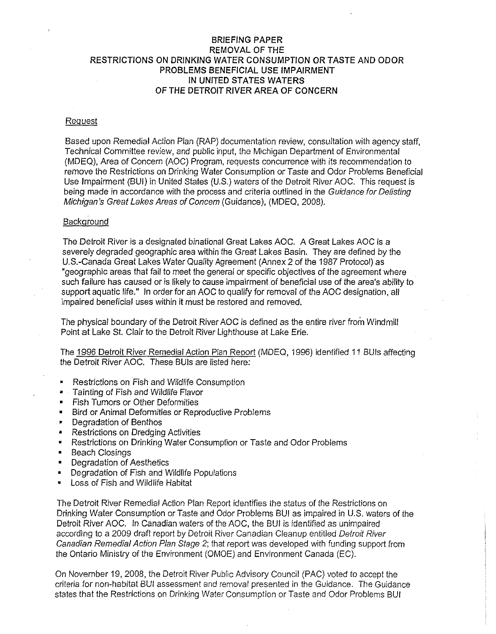# BRIEFING PAPER REMOVAL OF THE RESTRICTIONS ON DRINKING WATER CONSUMPTION OR TASTE AND ODOR PROBLEMS BENEFICIAL USE IMPAIRMENT IN UNITED STATES WATERS OF THE DETROIT RIVER AREA OF CONCERN

## Request

Based upon Remedial Action Plan (RAP) documentation review, consultation with agency staff, Technical Committee review, and public input, the Michigan Department of Environmental (MDEQ), Area of Concern (AOC) Program, requests concurrence with its recommendation to remove the Restrictions on Drinking Water Consumption or Taste and Odor Problems Beneficial Use Impairment (SUI) in United States (U.S.) waters of the Detroit River AOC. This request is being made in accordance with the process and criteria outlined in the Guidance for Delisting Michigan's Great Lakes Areas of Concern (Guidance), (MDEQ, 2008).

## **Background**

The Detroit River is a designated binational Great Lakes AOC. A Great Lakes AOC is a severely degraded geographic area within the Great Lakes Basin. They are defined by the U.S.-Canada Great Lakes Water Quality Agreement (Annex 2 of the 1987 Protocol) as "geographic areas that fail to meet the general or specific objectives of the agreement where such failure has caused or is likely to cause impairment of beneficial use of the area's ability to support aquatic life." In order for an AOC to qualify for removal of the AOC designation, all impaired beneficial uses within it must be restored and removed.

The physical boundary of the Detroit River AOC is defined as the entire river from Windmill Point at Lake St. Clair to the Detroit River Lighthouse at Lake Erie.

The 1996 Detroit River Remedial Action Plan Report (MDEQ, 1996) identified 11 BUis affecting the Detroit River AOC. These BUis are listed here:

- Restrictions on Fish and Wildlife Consumption
- Tainting of Fish and Wildlife Flavor
- Fish Tumors or Other Deformities
- Bird or Animal Deformities or Reproductive Problems
- Degradation of Benthos
- Restrictions on Dredging Activities
- Restrictions on Drinking Water Consumption or Taste and Odor Problems
- Beach Closings
- Degradation of Aesthetics
- Degradation of Fish and Wildlife Populations
- Loss of Fish and Wildlife Habitat

The Detroit River Remedial Action Plan Report identifies the status of the Restrictions on Drinking Water Consumption or Taste and Odor Problems BUI as impaired in U.S. waters of the Detroit River AOC. In Canadian waters of the AOC, the SUI is identified as unimpaired according to a 2009 draft report by Detroit River Canadian Cleanup entitled Detroit River Canadian Remedial Action Plan Stage 2; that report was developed with funding support from the Ontario Ministry of the Environment (OMOE) and Environment Canada (EC).

On November 19, 2008, the Detroit River Public Advisory Council (PAC) voted to accept the criteria for non-habitat SUI assessment and removal presented in the Guidance. The Guidance states that the Restrictions on Drinking Water Consumption or Taste and Odor Problems BUI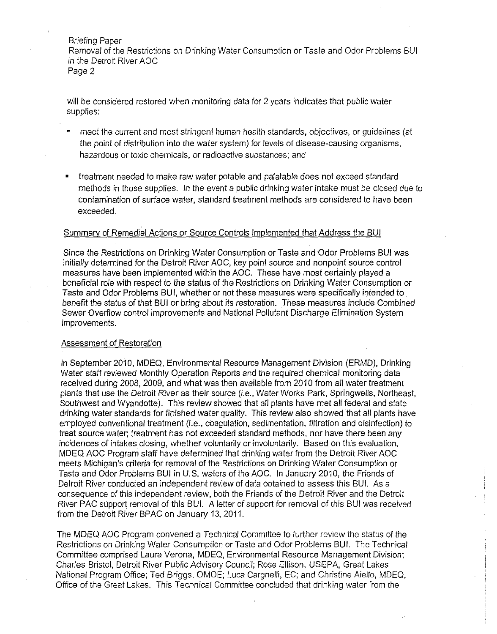Briefing Paper Removal of the Restrictions on Drinking Water Consumption or Taste and Odor Problems BUI in the Detroit River AOC Page 2

will be considered restored when monitoring data for 2 years indicates that public water supplies:

- = meet the current and most stringent human health standards, objectives, or guidelines (at the point of distribution into the water system) for levels of disease-causing organisms, hazardous or toxic chemicals, or radioactive substances; and
- treatment needed to make raw water potable and palatable does not exceed standard methods in those supplies. In the event a public drinking water intake must be closed due to contamination of surface water, standard treatment methods are considered to have been exceeded.

### Summary of Remedial Actions or Source Controls Implemented that Address the BU/

Since the Restrictions on Drinking Water Consumption or Taste and Odor Problems BUI was initially determined for the Detroit River AOC, key point source and nonpoint source control measures have been implemented within the AOC. These have most certainly played a beneficial role with respect to the status of the Restrictions on Drinking Water Consumption or Taste and Odor Problems BUI, whether or not these measures were specifically intended to benefit the status of that BUI or bring about its restoration. These measures include Combined Sewer Overflow control improvements and National Pollutant Discharge Elimination System improvements.

## Assessment of Restoration

In September 2010, MDEQ, Environmental Resource Management Division (ERMD), Drinking Water staff reviewed Monthly Operation Reports and the required chemical monitoring data received during 2008, 2009, and what was then available from 2010 from all water treatment plants that use the Detroit River as their source (i.e., Water Works Park, Springwells, Northeast, Southwest and Wyandotte). This review showed that all plants have met all federal and state drinking water standards for finished water quality. This review also showed that all plants have employed conventional treatment (i.e., coagulation, sedimentation, filtration and disinfection) to treat source water; treatment has not exceeded standard methods, nor have there been any incidences of intakes closing, whether voluntarily or involuntarily. Based on this evaluation, MDEQ AOC Program staff have determined that drinking water from the Detroit River AOC meets Michigan's criteria for removal of the Restrictions on Drinking Water Consumption or Taste and Odor Problems BUI in U.S. waters of the AOC. In January 2010, the Friends of Detroit River conducted an independent review of data obtained to assess this BUI. As a consequence of this independent review, both the Friends of the Detroit River and the Detroit River PAC support removal of this BUI. A letter of support for removal of this BUI was received from the Detroit River BPAC on January 13,2011.

The MDEQ AOC Program convened a Technical Committee to further review the status of the Restrictions on Drinking Water Consumption or Taste and Odor Problems BUI. The Technical Committee comprised Laura Verona, MDEQ, Environmental Resource Management Division; Charles Bristol, Detroit River Public Advisory Council; Rose Ellison, USEPA, Great Lakes National Program Office; Ted Briggs, OMOE; Luca Cargnelli, EC; and Christine Aiello, MDEQ, Office of the Great Lakes. This Technical Committee concluded that drinking water from the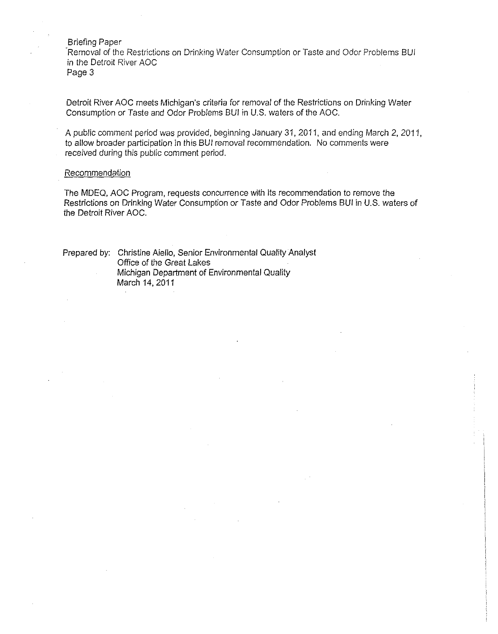Briefing Paper ·Removal of the Restrictions on Drinking Water Consumption or Taste and Odor Problems BUI in the Detroit River AOC Page 3

Detroit River AOC meets Michigan's criteria for removal of the Restrictions on Drinking Water Consumption or Taste and Odor Problems BUI in U.S. waters of the AOC.

A public comment period was provided, beginning January 31,2011, and ending March 2, 2011, to allow broader participation in this BUI removal recommendation. No comments were received during this public comment period.

### Recommendation

The MDEQ, AOC Program, requests concurrence with its recommendation to remove the Restrictions on Drinking Water Consumption or Taste and Odor Problems BUI in U.S. waters of the Detroit River AOC.

Prepared by: Christine Aiello, Senior Environmental Quality Analyst Office of the Great Lakes Michigan Department of Environmental Quality March 14, 2011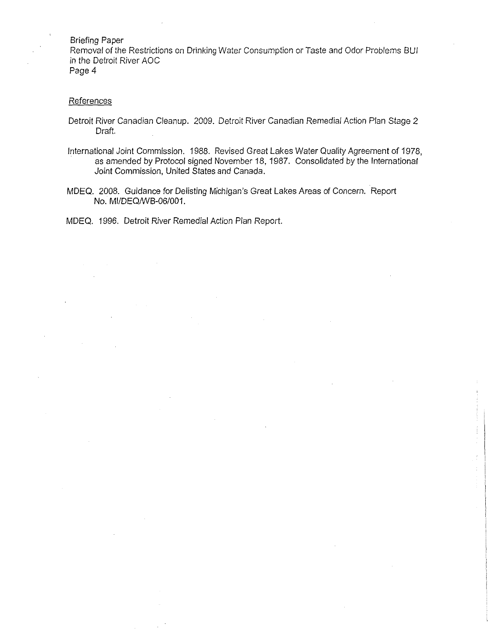### Briefing Paper

Removal of the Restrictions on Drinking Water Consumption or Taste and Odor Problems BUI in the Detroit River AOC Page 4

# **References**

- Detroit River Canadian Cleanup. 2009. Detroit River Canadian Remedial Action Plan Stage 2 Draft.
- International Joint Commission. 1988. Revised Great Lakes Water Quality Agreement of 1978, as amended by Protocol signed November 18, 1987. Consolidated by the International Joint Commission, United States and Canada.
- MDEQ. 2008. Guidance for Delisting Michigan's Great Lakes Areas of Concern. Report No. MI/DEQ/WB-06/001.

MDEQ. 1996. Detroit River Remedial Action Plan Report.